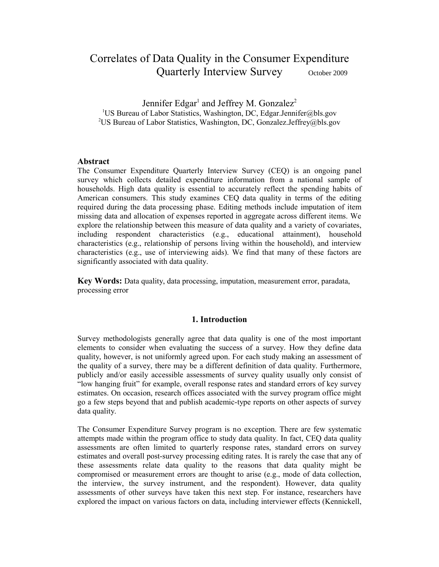# Correlates of Data Quality in the Consumer Expenditure Quarterly Interview Survey October 2009

Jennifer Edgar<sup>1</sup> and Jeffrey M. Gonzalez<sup>2</sup> <sup>1</sup>US Bureau of Labor Statistics, Washington, DC, Edgar.Jennifer@bls.gov <sup>2</sup>US Bureau of Labor Statistics, Washington, DC, Gonzalez.Jeffrey@bls.gov

## **Abstract**

The Consumer Expenditure Quarterly Interview Survey (CEQ) is an ongoing panel survey which collects detailed expenditure information from a national sample of households. High data quality is essential to accurately reflect the spending habits of American consumers. This study examines CEQ data quality in terms of the editing required during the data processing phase. Editing methods include imputation of item missing data and allocation of expenses reported in aggregate across different items. We explore the relationship between this measure of data quality and a variety of covariates, including respondent characteristics (e.g., educational attainment), household characteristics (e.g., relationship of persons living within the household), and interview characteristics (e.g., use of interviewing aids). We find that many of these factors are significantly associated with data quality.

**Key Words:** Data quality, data processing, imputation, measurement error, paradata, processing error

#### **1. Introduction**

Survey methodologists generally agree that data quality is one of the most important elements to consider when evaluating the success of a survey. How they define data quality, however, is not uniformly agreed upon. For each study making an assessment of the quality of a survey, there may be a different definition of data quality. Furthermore, publicly and/or easily accessible assessments of survey quality usually only consist of "low hanging fruit" for example, overall response rates and standard errors of key survey estimates. On occasion, research offices associated with the survey program office might go a few steps beyond that and publish academic-type reports on other aspects of survey data quality.

The Consumer Expenditure Survey program is no exception. There are few systematic attempts made within the program office to study data quality. In fact, CEQ data quality assessments are often limited to quarterly response rates, standard errors on survey estimates and overall post-survey processing editing rates. It is rarely the case that any of these assessments relate data quality to the reasons that data quality might be compromised or measurement errors are thought to arise (e.g., mode of data collection, the interview, the survey instrument, and the respondent). However, data quality assessments of other surveys have taken this next step. For instance, researchers have explored the impact on various factors on data, including interviewer effects (Kennickell,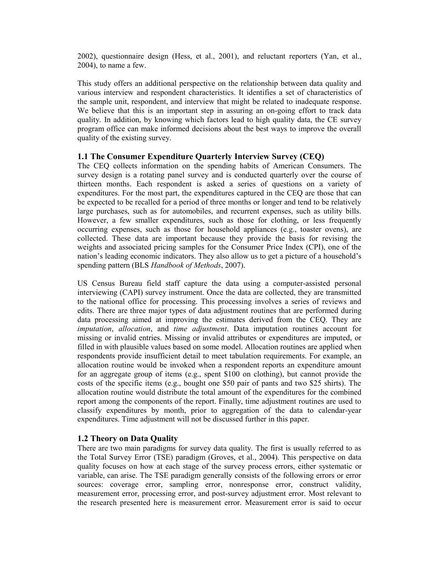2002), questionnaire design (Hess, et al., 2001), and reluctant reporters (Yan, et al., 2004), to name a few.

This study offers an additional perspective on the relationship between data quality and various interview and respondent characteristics. It identifies a set of characteristics of the sample unit, respondent, and interview that might be related to inadequate response. We believe that this is an important step in assuring an on-going effort to track data quality. In addition, by knowing which factors lead to high quality data, the CE survey program office can make informed decisions about the best ways to improve the overall quality of the existing survey.

#### **1.1 The Consumer Expenditure Quarterly Interview Survey (CEQ)**

The CEQ collects information on the spending habits of American Consumers. The survey design is a rotating panel survey and is conducted quarterly over the course of thirteen months. Each respondent is asked a series of questions on a variety of expenditures. For the most part, the expenditures captured in the CEQ are those that can be expected to be recalled for a period of three months or longer and tend to be relatively large purchases, such as for automobiles, and recurrent expenses, such as utility bills. However, a few smaller expenditures, such as those for clothing, or less frequently occurring expenses, such as those for household appliances (e.g., toaster ovens), are collected. These data are important because they provide the basis for revising the weights and associated pricing samples for the Consumer Price Index (CPI), one of the nation's leading economic indicators. They also allow us to get a picture of a household's spending pattern (BLS *Handbook of Methods*, 2007).

US Census Bureau field staff capture the data using a computer-assisted personal interviewing (CAPI) survey instrument. Once the data are collected, they are transmitted to the national office for processing. This processing involves a series of reviews and edits. There are three major types of data adjustment routines that are performed during data processing aimed at improving the estimates derived from the CEQ. They are *imputation*, *allocation*, and *time adjustment*. Data imputation routines account for missing or invalid entries. Missing or invalid attributes or expenditures are imputed, or filled in with plausible values based on some model. Allocation routines are applied when respondents provide insufficient detail to meet tabulation requirements. For example, an allocation routine would be invoked when a respondent reports an expenditure amount for an aggregate group of items (e.g., spent \$100 on clothing), but cannot provide the costs of the specific items (e.g., bought one \$50 pair of pants and two \$25 shirts). The allocation routine would distribute the total amount of the expenditures for the combined report among the components of the report. Finally, time adjustment routines are used to classify expenditures by month, prior to aggregation of the data to calendar-year expenditures. Time adjustment will not be discussed further in this paper.

## **1.2 Theory on Data Quality**

There are two main paradigms for survey data quality. The first is usually referred to as the Total Survey Error (TSE) paradigm (Groves, et al., 2004). This perspective on data quality focuses on how at each stage of the survey process errors, either systematic or variable, can arise. The TSE paradigm generally consists of the following errors or error sources: coverage error, sampling error, nonresponse error, construct validity, measurement error, processing error, and post-survey adjustment error. Most relevant to the research presented here is measurement error. Measurement error is said to occur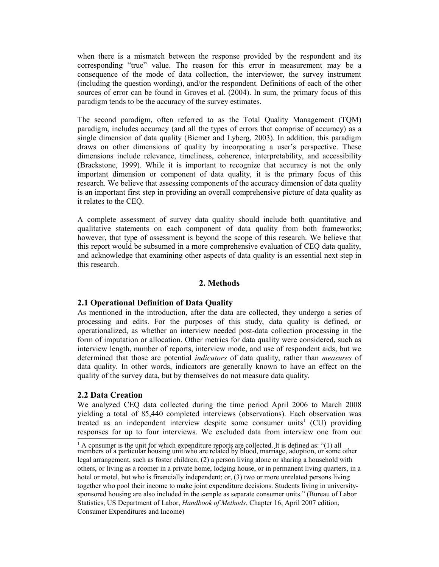when there is a mismatch between the response provided by the respondent and its corresponding "true" value. The reason for this error in measurement may be a consequence of the mode of data collection, the interviewer, the survey instrument (including the question wording), and/or the respondent. Definitions of each of the other sources of error can be found in Groves et al. (2004). In sum, the primary focus of this paradigm tends to be the accuracy of the survey estimates.

The second paradigm, often referred to as the Total Quality Management (TQM) paradigm, includes accuracy (and all the types of errors that comprise of accuracy) as a single dimension of data quality (Biemer and Lyberg, 2003). In addition, this paradigm draws on other dimensions of quality by incorporating a user's perspective. These dimensions include relevance, timeliness, coherence, interpretability, and accessibility (Brackstone, 1999). While it is important to recognize that accuracy is not the only important dimension or component of data quality, it is the primary focus of this research. We believe that assessing components of the accuracy dimension of data quality is an important first step in providing an overall comprehensive picture of data quality as it relates to the CEQ.

A complete assessment of survey data quality should include both quantitative and qualitative statements on each component of data quality from both frameworks; however, that type of assessment is beyond the scope of this research. We believe that this report would be subsumed in a more comprehensive evaluation of CEQ data quality, and acknowledge that examining other aspects of data quality is an essential next step in this research.

## **2. Methods**

## **2.1 Operational Definition of Data Quality**

As mentioned in the introduction, after the data are collected, they undergo a series of processing and edits. For the purposes of this study, data quality is defined, or operationalized, as whether an interview needed post-data collection processing in the form of imputation or allocation. Other metrics for data quality were considered, such as interview length, number of reports, interview mode, and use of respondent aids, but we determined that those are potential *indicators* of data quality, rather than *measures* of data quality. In other words, indicators are generally known to have an effect on the quality of the survey data, but by themselves do not measure data quality.

#### **2.2 Data Creation**

We analyzed CEQ data collected during the time period April 2006 to March 2008 yielding a total of 85,440 completed interviews (observations). Each observation was treated a[s](#page-2-0) an independent interview despite some consumer units<sup>1</sup> (CU) providing responses for up to four interviews. We excluded data from interview one from our

<span id="page-2-0"></span> $<sup>1</sup>$  A consumer is the unit for which expenditure reports are collected. It is defined as: "(1) all</sup> members of a particular housing unit who are related by blood, marriage, adoption, or some other legal arrangement, such as foster children; (2) a person living alone or sharing a household with others, or living as a roomer in a private home, lodging house, or in permanent living quarters, in a hotel or motel, but who is financially independent; or, (3) two or more unrelated persons living together who pool their income to make joint expenditure decisions. Students living in universitysponsored housing are also included in the sample as separate consumer units." (Bureau of Labor Statistics, US Department of Labor, *Handbook of Methods*, Chapter 16, April 2007 edition, Consumer Expenditures and Income)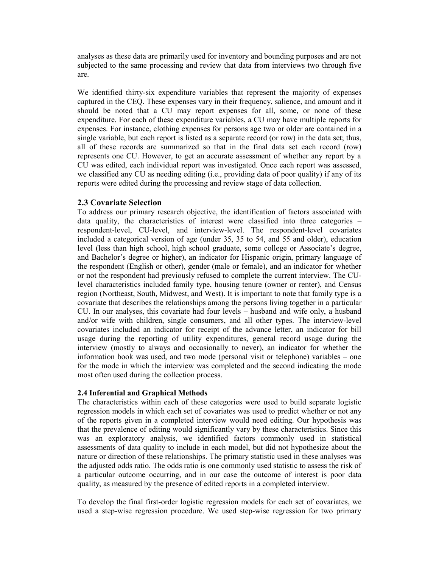analyses as these data are primarily used for inventory and bounding purposes and are not subjected to the same processing and review that data from interviews two through five are.

We identified thirty-six expenditure variables that represent the majority of expenses captured in the CEQ. These expenses vary in their frequency, salience, and amount and it should be noted that a CU may report expenses for all, some, or none of these expenditure. For each of these expenditure variables, a CU may have multiple reports for expenses. For instance, clothing expenses for persons age two or older are contained in a single variable, but each report is listed as a separate record (or row) in the data set; thus, all of these records are summarized so that in the final data set each record (row) represents one CU. However, to get an accurate assessment of whether any report by a CU was edited, each individual report was investigated. Once each report was assessed, we classified any CU as needing editing (i.e., providing data of poor quality) if any of its reports were edited during the processing and review stage of data collection.

## **2.3 Covariate Selection**

To address our primary research objective, the identification of factors associated with data quality, the characteristics of interest were classified into three categories – respondent-level, CU-level, and interview-level. The respondent-level covariates included a categorical version of age (under 35, 35 to 54, and 55 and older), education level (less than high school, high school graduate, some college or Associate's degree, and Bachelor's degree or higher), an indicator for Hispanic origin, primary language of the respondent (English or other), gender (male or female), and an indicator for whether or not the respondent had previously refused to complete the current interview. The CUlevel characteristics included family type, housing tenure (owner or renter), and Census region (Northeast, South, Midwest, and West). It is important to note that family type is a covariate that describes the relationships among the persons living together in a particular CU. In our analyses, this covariate had four levels – husband and wife only, a husband and/or wife with children, single consumers, and all other types. The interview-level covariates included an indicator for receipt of the advance letter, an indicator for bill usage during the reporting of utility expenditures, general record usage during the interview (mostly to always and occasionally to never), an indicator for whether the information book was used, and two mode (personal visit or telephone) variables – one for the mode in which the interview was completed and the second indicating the mode most often used during the collection process.

#### **2.4 Inferential and Graphical Methods**

The characteristics within each of these categories were used to build separate logistic regression models in which each set of covariates was used to predict whether or not any of the reports given in a completed interview would need editing. Our hypothesis was that the prevalence of editing would significantly vary by these characteristics. Since this was an exploratory analysis, we identified factors commonly used in statistical assessments of data quality to include in each model, but did not hypothesize about the nature or direction of these relationships. The primary statistic used in these analyses was the adjusted odds ratio. The odds ratio is one commonly used statistic to assess the risk of a particular outcome occurring, and in our case the outcome of interest is poor data quality, as measured by the presence of edited reports in a completed interview.

To develop the final first-order logistic regression models for each set of covariates, we used a step-wise regression procedure. We used step-wise regression for two primary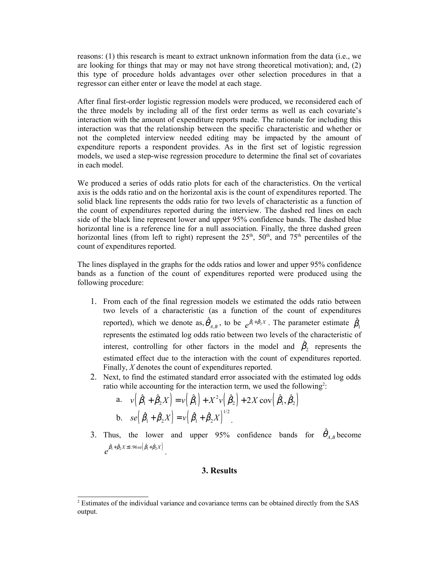reasons: (1) this research is meant to extract unknown information from the data (i.e., we are looking for things that may or may not have strong theoretical motivation); and, (2) this type of procedure holds advantages over other selection procedures in that a regressor can either enter or leave the model at each stage.

After final first-order logistic regression models were produced, we reconsidered each of the three models by including all of the first order terms as well as each covariate's interaction with the amount of expenditure reports made. The rationale for including this interaction was that the relationship between the specific characteristic and whether or not the completed interview needed editing may be impacted by the amount of expenditure reports a respondent provides. As in the first set of logistic regression models, we used a step-wise regression procedure to determine the final set of covariates in each model.

We produced a series of odds ratio plots for each of the characteristics. On the vertical axis is the odds ratio and on the horizontal axis is the count of expenditures reported. The solid black line represents the odds ratio for two levels of characteristic as a function of the count of expenditures reported during the interview. The dashed red lines on each side of the black line represent lower and upper 95% confidence bands. The dashed blue horizontal line is a reference line for a null association. Finally, the three dashed green horizontal lines (from left to right) represent the  $25<sup>th</sup>$ ,  $50<sup>th</sup>$ , and  $75<sup>th</sup>$  percentiles of the count of expenditures reported.

The lines displayed in the graphs for the odds ratios and lower and upper 95% confidence bands as a function of the count of expenditures reported were produced using the following procedure:

- 1. From each of the final regression models we estimated the odds ratio between two levels of a characteristic (as a function of the count of expenditures reported), which we denote as,  $\hat{\theta}_{A,B}$ , to be  $e^{\hat{\beta}_1 + \hat{\beta}_2 X}$ . The parameter estimate  $\hat{\beta}_1$ represents the estimated log odds ratio between two levels of the characteristic of interest, controlling for other factors in the model and  $\hat{\beta}_2$  represents the estimated effect due to the interaction with the count of expenditures reported. Finally, *X* denotes the count of expenditures reported.
- 2. Next, to find the estimated standard error associated with the estimated log odds ratio while accounting for the interaction term, we used the following<sup>[2](#page-4-0)</sup>:

a. 
$$
v(\hat{\beta}_1 + \hat{\beta}_2 X) = v(\hat{\beta}_1) + X^2 v(\hat{\beta}_2) + 2X \text{ cov}(\hat{\beta}_1, \hat{\beta}_2)
$$
  
\nb.  $se(\hat{\beta}_1 + \hat{\beta}_2 X) = v(\hat{\beta}_1 + \hat{\beta}_2 X)^{1/2}$ .

3. Thus, the lower and upper 95% confidence bands for  $\hat{\theta}_{A,B}$  become  $e^{\hat{\beta}_1+\hat{\beta}_2X\pm 1.96se\left(\hat{\beta}_1+\hat{\beta}_2X\right)}$  .

#### **3. Results**

<span id="page-4-0"></span><sup>&</sup>lt;sup>2</sup> Estimates of the individual variance and covariance terms can be obtained directly from the SAS output.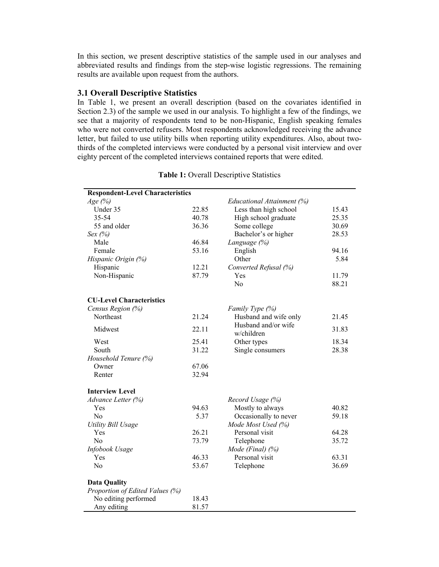In this section, we present descriptive statistics of the sample used in our analyses and abbreviated results and findings from the step-wise logistic regressions. The remaining results are available upon request from the authors.

## **3.1 Overall Descriptive Statistics**

In Table 1, we present an overall description (based on the covariates identified in Section 2.3) of the sample we used in our analysis. To highlight a few of the findings, we see that a majority of respondents tend to be non-Hispanic, English speaking females who were not converted refusers. Most respondents acknowledged receiving the advance letter, but failed to use utility bills when reporting utility expenditures. Also, about twothirds of the completed interviews were conducted by a personal visit interview and over eighty percent of the completed interviews contained reports that were edited.

| Age $(%)$<br>Educational Attainment (%)<br>Under 35<br>22.85<br>Less than high school<br>15.43<br>35-54<br>40.78<br>High school graduate<br>25.35<br>55 and older<br>36.36<br>Some college<br>30.69<br>Bachelor's or higher<br>Sex $(%)$<br>28.53<br>46.84<br>Male<br>Language (%)<br>Female<br>53.16<br>English<br>94.16<br>Other<br>5.84<br>Hispanic Origin (%)<br>Hispanic<br>12.21<br>Converted Refusal (%)<br>Non-Hispanic<br>87.79<br>Yes<br>11.79<br>No<br>88.21<br><b>CU-Level Characteristics</b><br>Census Region (%)<br>Family Type (%)<br>Northeast<br>21.24<br>Husband and wife only<br>21.45<br>Husband and/or wife<br>Midwest<br>22.11<br>31.83<br>w/children<br>West<br>25.41<br>18.34<br>Other types<br>South<br>31.22<br>Single consumers<br>28.38<br>Household Tenure (%)<br>67.06<br>Owner<br>32.94<br>Renter<br><b>Interview Level</b><br>Advance Letter (%)<br>Record Usage (%)<br>94.63<br>Mostly to always<br>40.82<br>Yes<br>N <sub>o</sub><br>5.37<br>Occasionally to never<br>59.18<br>Mode Most Used (%)<br><b>Utility Bill Usage</b><br>26.21<br>64.28<br>Yes<br>Personal visit<br>73.79<br>No<br>Telephone<br>35.72<br>Infobook Usage<br>Mode (Final) $(\%)$<br>Personal visit<br>46.33<br>63.31<br>Yes<br>N <sub>0</sub><br>53.67<br>36.69<br>Telephone<br><b>Data Quality</b><br>Proportion of Edited Values (%)<br>No editing performed<br>18.43<br>Any editing<br>81.57 | <b>Respondent-Level Characteristics</b> |  |  |
|-----------------------------------------------------------------------------------------------------------------------------------------------------------------------------------------------------------------------------------------------------------------------------------------------------------------------------------------------------------------------------------------------------------------------------------------------------------------------------------------------------------------------------------------------------------------------------------------------------------------------------------------------------------------------------------------------------------------------------------------------------------------------------------------------------------------------------------------------------------------------------------------------------------------------------------------------------------------------------------------------------------------------------------------------------------------------------------------------------------------------------------------------------------------------------------------------------------------------------------------------------------------------------------------------------------------------------------------------------------------------------------------------------------|-----------------------------------------|--|--|
|                                                                                                                                                                                                                                                                                                                                                                                                                                                                                                                                                                                                                                                                                                                                                                                                                                                                                                                                                                                                                                                                                                                                                                                                                                                                                                                                                                                                           |                                         |  |  |
|                                                                                                                                                                                                                                                                                                                                                                                                                                                                                                                                                                                                                                                                                                                                                                                                                                                                                                                                                                                                                                                                                                                                                                                                                                                                                                                                                                                                           |                                         |  |  |
|                                                                                                                                                                                                                                                                                                                                                                                                                                                                                                                                                                                                                                                                                                                                                                                                                                                                                                                                                                                                                                                                                                                                                                                                                                                                                                                                                                                                           |                                         |  |  |
|                                                                                                                                                                                                                                                                                                                                                                                                                                                                                                                                                                                                                                                                                                                                                                                                                                                                                                                                                                                                                                                                                                                                                                                                                                                                                                                                                                                                           |                                         |  |  |
|                                                                                                                                                                                                                                                                                                                                                                                                                                                                                                                                                                                                                                                                                                                                                                                                                                                                                                                                                                                                                                                                                                                                                                                                                                                                                                                                                                                                           |                                         |  |  |
|                                                                                                                                                                                                                                                                                                                                                                                                                                                                                                                                                                                                                                                                                                                                                                                                                                                                                                                                                                                                                                                                                                                                                                                                                                                                                                                                                                                                           |                                         |  |  |
|                                                                                                                                                                                                                                                                                                                                                                                                                                                                                                                                                                                                                                                                                                                                                                                                                                                                                                                                                                                                                                                                                                                                                                                                                                                                                                                                                                                                           |                                         |  |  |
|                                                                                                                                                                                                                                                                                                                                                                                                                                                                                                                                                                                                                                                                                                                                                                                                                                                                                                                                                                                                                                                                                                                                                                                                                                                                                                                                                                                                           |                                         |  |  |
|                                                                                                                                                                                                                                                                                                                                                                                                                                                                                                                                                                                                                                                                                                                                                                                                                                                                                                                                                                                                                                                                                                                                                                                                                                                                                                                                                                                                           |                                         |  |  |
|                                                                                                                                                                                                                                                                                                                                                                                                                                                                                                                                                                                                                                                                                                                                                                                                                                                                                                                                                                                                                                                                                                                                                                                                                                                                                                                                                                                                           |                                         |  |  |
|                                                                                                                                                                                                                                                                                                                                                                                                                                                                                                                                                                                                                                                                                                                                                                                                                                                                                                                                                                                                                                                                                                                                                                                                                                                                                                                                                                                                           |                                         |  |  |
|                                                                                                                                                                                                                                                                                                                                                                                                                                                                                                                                                                                                                                                                                                                                                                                                                                                                                                                                                                                                                                                                                                                                                                                                                                                                                                                                                                                                           |                                         |  |  |
|                                                                                                                                                                                                                                                                                                                                                                                                                                                                                                                                                                                                                                                                                                                                                                                                                                                                                                                                                                                                                                                                                                                                                                                                                                                                                                                                                                                                           |                                         |  |  |
|                                                                                                                                                                                                                                                                                                                                                                                                                                                                                                                                                                                                                                                                                                                                                                                                                                                                                                                                                                                                                                                                                                                                                                                                                                                                                                                                                                                                           |                                         |  |  |
|                                                                                                                                                                                                                                                                                                                                                                                                                                                                                                                                                                                                                                                                                                                                                                                                                                                                                                                                                                                                                                                                                                                                                                                                                                                                                                                                                                                                           |                                         |  |  |
|                                                                                                                                                                                                                                                                                                                                                                                                                                                                                                                                                                                                                                                                                                                                                                                                                                                                                                                                                                                                                                                                                                                                                                                                                                                                                                                                                                                                           |                                         |  |  |
|                                                                                                                                                                                                                                                                                                                                                                                                                                                                                                                                                                                                                                                                                                                                                                                                                                                                                                                                                                                                                                                                                                                                                                                                                                                                                                                                                                                                           |                                         |  |  |
|                                                                                                                                                                                                                                                                                                                                                                                                                                                                                                                                                                                                                                                                                                                                                                                                                                                                                                                                                                                                                                                                                                                                                                                                                                                                                                                                                                                                           |                                         |  |  |
|                                                                                                                                                                                                                                                                                                                                                                                                                                                                                                                                                                                                                                                                                                                                                                                                                                                                                                                                                                                                                                                                                                                                                                                                                                                                                                                                                                                                           |                                         |  |  |
|                                                                                                                                                                                                                                                                                                                                                                                                                                                                                                                                                                                                                                                                                                                                                                                                                                                                                                                                                                                                                                                                                                                                                                                                                                                                                                                                                                                                           |                                         |  |  |
|                                                                                                                                                                                                                                                                                                                                                                                                                                                                                                                                                                                                                                                                                                                                                                                                                                                                                                                                                                                                                                                                                                                                                                                                                                                                                                                                                                                                           |                                         |  |  |
|                                                                                                                                                                                                                                                                                                                                                                                                                                                                                                                                                                                                                                                                                                                                                                                                                                                                                                                                                                                                                                                                                                                                                                                                                                                                                                                                                                                                           |                                         |  |  |
|                                                                                                                                                                                                                                                                                                                                                                                                                                                                                                                                                                                                                                                                                                                                                                                                                                                                                                                                                                                                                                                                                                                                                                                                                                                                                                                                                                                                           |                                         |  |  |
|                                                                                                                                                                                                                                                                                                                                                                                                                                                                                                                                                                                                                                                                                                                                                                                                                                                                                                                                                                                                                                                                                                                                                                                                                                                                                                                                                                                                           |                                         |  |  |
|                                                                                                                                                                                                                                                                                                                                                                                                                                                                                                                                                                                                                                                                                                                                                                                                                                                                                                                                                                                                                                                                                                                                                                                                                                                                                                                                                                                                           |                                         |  |  |
|                                                                                                                                                                                                                                                                                                                                                                                                                                                                                                                                                                                                                                                                                                                                                                                                                                                                                                                                                                                                                                                                                                                                                                                                                                                                                                                                                                                                           |                                         |  |  |
|                                                                                                                                                                                                                                                                                                                                                                                                                                                                                                                                                                                                                                                                                                                                                                                                                                                                                                                                                                                                                                                                                                                                                                                                                                                                                                                                                                                                           |                                         |  |  |
|                                                                                                                                                                                                                                                                                                                                                                                                                                                                                                                                                                                                                                                                                                                                                                                                                                                                                                                                                                                                                                                                                                                                                                                                                                                                                                                                                                                                           |                                         |  |  |
|                                                                                                                                                                                                                                                                                                                                                                                                                                                                                                                                                                                                                                                                                                                                                                                                                                                                                                                                                                                                                                                                                                                                                                                                                                                                                                                                                                                                           |                                         |  |  |
|                                                                                                                                                                                                                                                                                                                                                                                                                                                                                                                                                                                                                                                                                                                                                                                                                                                                                                                                                                                                                                                                                                                                                                                                                                                                                                                                                                                                           |                                         |  |  |
|                                                                                                                                                                                                                                                                                                                                                                                                                                                                                                                                                                                                                                                                                                                                                                                                                                                                                                                                                                                                                                                                                                                                                                                                                                                                                                                                                                                                           |                                         |  |  |
|                                                                                                                                                                                                                                                                                                                                                                                                                                                                                                                                                                                                                                                                                                                                                                                                                                                                                                                                                                                                                                                                                                                                                                                                                                                                                                                                                                                                           |                                         |  |  |
|                                                                                                                                                                                                                                                                                                                                                                                                                                                                                                                                                                                                                                                                                                                                                                                                                                                                                                                                                                                                                                                                                                                                                                                                                                                                                                                                                                                                           |                                         |  |  |
|                                                                                                                                                                                                                                                                                                                                                                                                                                                                                                                                                                                                                                                                                                                                                                                                                                                                                                                                                                                                                                                                                                                                                                                                                                                                                                                                                                                                           |                                         |  |  |

## **Table 1:** Overall Descriptive Statistics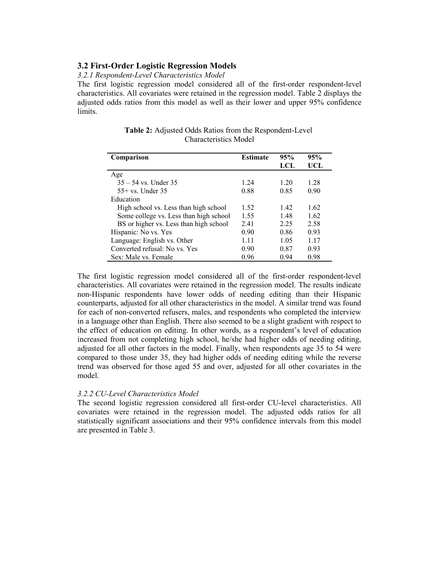## **3.2 First-Order Logistic Regression Models**

# *3.2.1 Respondent-Level Characteristics Model*

The first logistic regression model considered all of the first-order respondent-level characteristics. All covariates were retained in the regression model. Table 2 displays the adjusted odds ratios from this model as well as their lower and upper 95% confidence limits.

| Comparison                             | <b>Estimate</b> | 95%  | 95%   |
|----------------------------------------|-----------------|------|-------|
|                                        |                 | LCL  | UCL   |
| Age                                    |                 |      |       |
| $35 - 54$ vs. Under 35                 | 1 24            | 1 20 | 1.28  |
| $55+$ vs. Under 35                     | 0.88            | 0.85 | 0.90  |
| Education                              |                 |      |       |
| High school vs. Less than high school  | 1.52            | 1.42 | 1.62  |
| Some college vs. Less than high school | 1.55            | 148  | 1.62  |
| BS or higher vs. Less than high school | 2.41            | 2.25 | 2.58  |
| Hispanic: No vs. Yes                   | 0.90            | 0.86 | 0.93  |
| Language: English vs. Other            | 1 1 1           | 1.05 | 1 1 7 |
| Converted refusal: No vs. Yes          | 0.90            | 0.87 | 0.93  |
| Sex: Male vs. Female                   | 0.96            | 0.94 | 0.98  |

**Table 2:** Adjusted Odds Ratios from the Respondent-Level Characteristics Model

The first logistic regression model considered all of the first-order respondent-level characteristics. All covariates were retained in the regression model. The results indicate non-Hispanic respondents have lower odds of needing editing than their Hispanic counterparts, adjusted for all other characteristics in the model. A similar trend was found for each of non-converted refusers, males, and respondents who completed the interview in a language other than English. There also seemed to be a slight gradient with respect to the effect of education on editing. In other words, as a respondent's level of education increased from not completing high school, he/she had higher odds of needing editing, adjusted for all other factors in the model. Finally, when respondents age 35 to 54 were compared to those under 35, they had higher odds of needing editing while the reverse trend was observed for those aged 55 and over, adjusted for all other covariates in the model.

## *3.2.2 CU-Level Characteristics Model*

The second logistic regression considered all first-order CU-level characteristics. All covariates were retained in the regression model. The adjusted odds ratios for all statistically significant associations and their 95% confidence intervals from this model are presented in Table 3.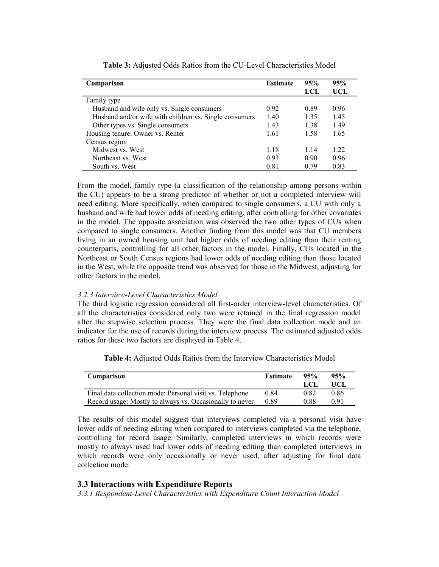| Comparison                                             | <b>Estimate</b> | 95%  | 95%  |
|--------------------------------------------------------|-----------------|------|------|
|                                                        |                 | LCL  | UCL  |
| Family type                                            |                 |      |      |
| Husband and wife only vs. Single consumers             | 0.92            | 0.89 | 0.96 |
| Husband and/or wife with children vs. Single consumers | 1.40            | 1.35 | 1.45 |
| Other types vs. Single consumers                       | 1.43            | 1.38 | 1.49 |
| Housing tenure: Owner vs. Renter                       | 1.61            | 1.58 | 1.65 |
| Census region                                          |                 |      |      |
| Midwest vs. West                                       | 1.18            | 1.14 | 1.22 |
| Northeast vs. West                                     | 0.93            | 0.90 | 0.96 |
| South vs. West                                         | 0.81            | 0.79 | 0.83 |

**Table 3:** Adjusted Odds Ratios from the CU-Level Characteristics Model

From the model, family type (a classification of the relationship among persons within the CU) appears to be a strong predictor of whether or not a completed interview will need editing. More specifically, when compared to single consumers, a CU with only a husband and wife had lower odds of needing editing, after controlling for other covariates in the model. The opposite association was observed the two other types of CUs when compared to single consumers. Another finding from this model was that CU members living in an owned housing unit had higher odds of needing editing than their renting counterparts, controlling for all other factors in the model. Finally, CUs located in the Northeast or South Census regions had lower odds of needing editing than those located in the West, while the opposite trend was observed for those in the Midwest, adjusting for other factors in the model.

## *3.2.3 Interview-Level Characteristics Model*

The third logistic regression considered all first-order interview-level characteristics. Of all the characteristics considered only two were retained in the final regression model after the stepwise selection process. They were the final data collection mode and an indicator for the use of records during the interview process. The estimated adjusted odds ratios for these two factors are displayed in Table 4.

**Table 4:** Adjusted Odds Ratios from the Interview Characteristics Model

| Comparison                                               | <b>Estimate</b> | 95%<br>LCL. | 95%<br>UCL |
|----------------------------------------------------------|-----------------|-------------|------------|
| Final data collection mode: Personal visit vs. Telephone | 0.84            | 0.82        | 0.86       |
| Record usage: Mostly to always vs. Occasionally to never | 0.89            | 0.88        | 0.91       |

The results of this model suggest that interviews completed via a personal visit have lower odds of needing editing when compared to interviews completed via the telephone, controlling for record usage. Similarly, completed interviews in which records were mostly to always used had lower odds of needing editing than completed interviews in which records were only occasionally or never used, after adjusting for final data collection mode.

## **3.3 Interactions with Expenditure Reports**

*3.3.1 Respondent-Level Characteristics with Expenditure Count Interaction Model*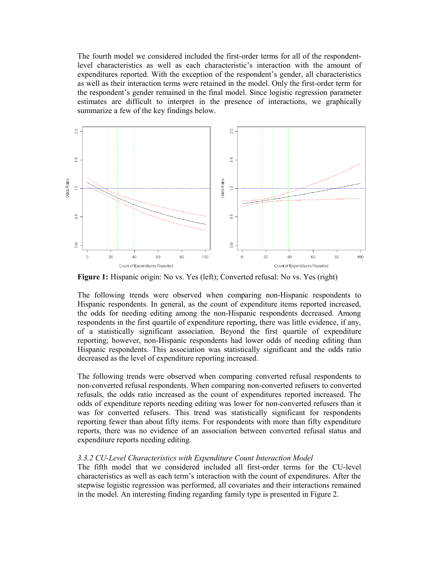The fourth model we considered included the first-order terms for all of the respondentlevel characteristics as well as each characteristic's interaction with the amount of expenditures reported. With the exception of the respondent's gender, all characteristics as well as their interaction terms were retained in the model. Only the first-order term for the respondent's gender remained in the final model. Since logistic regression parameter estimates are difficult to interpret in the presence of interactions, we graphically summarize a few of the key findings below.



**Figure 1:** Hispanic origin: No vs. Yes (left); Converted refusal: No vs. Yes (right)

The following trends were observed when comparing non-Hispanic respondents to Hispanic respondents. In general, as the count of expenditure items reported increased, the odds for needing editing among the non-Hispanic respondents decreased. Among respondents in the first quartile of expenditure reporting, there was little evidence, if any, of a statistically significant association. Beyond the first quartile of expenditure reporting; however, non-Hispanic respondents had lower odds of needing editing than Hispanic respondents. This association was statistically significant and the odds ratio decreased as the level of expenditure reporting increased.

The following trends were observed when comparing converted refusal respondents to non-converted refusal respondents. When comparing non-converted refusers to converted refusals, the odds ratio increased as the count of expenditures reported increased. The odds of expenditure reports needing editing was lower for non-converted refusers than it was for converted refusers. This trend was statistically significant for respondents reporting fewer than about fifty items. For respondents with more than fifty expenditure reports, there was no evidence of an association between converted refusal status and expenditure reports needing editing.

#### *3.3.2 CU-Level Characteristics with Expenditure Count Interaction Model*

The fifth model that we considered included all first-order terms for the CU-level characteristics as well as each term's interaction with the count of expenditures. After the stepwise logistic regression was performed, all covariates and their interactions remained in the model. An interesting finding regarding family type is presented in Figure 2.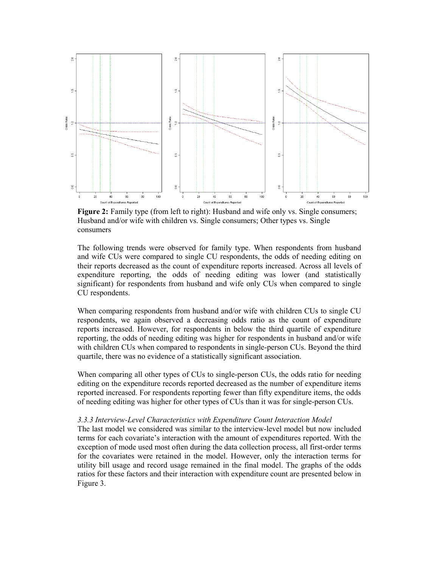

**Figure 2:** Family type (from left to right): Husband and wife only vs. Single consumers; Husband and/or wife with children vs. Single consumers; Other types vs. Single consumers

The following trends were observed for family type. When respondents from husband and wife CUs were compared to single CU respondents, the odds of needing editing on their reports decreased as the count of expenditure reports increased. Across all levels of expenditure reporting, the odds of needing editing was lower (and statistically significant) for respondents from husband and wife only CUs when compared to single CU respondents.

When comparing respondents from husband and/or wife with children CUs to single CU respondents, we again observed a decreasing odds ratio as the count of expenditure reports increased. However, for respondents in below the third quartile of expenditure reporting, the odds of needing editing was higher for respondents in husband and/or wife with children CUs when compared to respondents in single-person CUs. Beyond the third quartile, there was no evidence of a statistically significant association.

When comparing all other types of CUs to single-person CUs, the odds ratio for needing editing on the expenditure records reported decreased as the number of expenditure items reported increased. For respondents reporting fewer than fifty expenditure items, the odds of needing editing was higher for other types of CUs than it was for single-person CUs.

#### *3.3.3 Interview-Level Characteristics with Expenditure Count Interaction Model*

The last model we considered was similar to the interview-level model but now included terms for each covariate's interaction with the amount of expenditures reported. With the exception of mode used most often during the data collection process, all first-order terms for the covariates were retained in the model. However, only the interaction terms for utility bill usage and record usage remained in the final model. The graphs of the odds ratios for these factors and their interaction with expenditure count are presented below in Figure 3.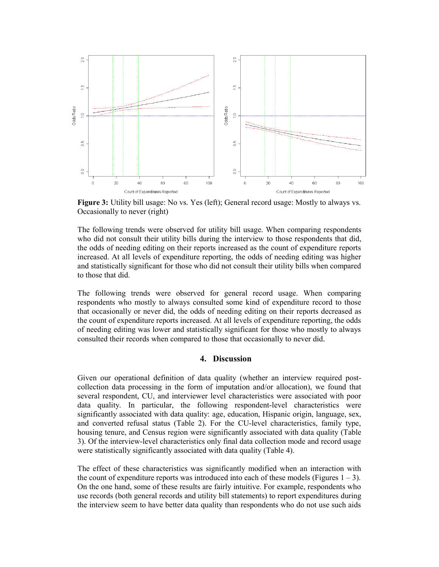

**Figure 3:** Utility bill usage: No vs. Yes (left); General record usage: Mostly to always vs. Occasionally to never (right)

The following trends were observed for utility bill usage. When comparing respondents who did not consult their utility bills during the interview to those respondents that did, the odds of needing editing on their reports increased as the count of expenditure reports increased. At all levels of expenditure reporting, the odds of needing editing was higher and statistically significant for those who did not consult their utility bills when compared to those that did.

The following trends were observed for general record usage. When comparing respondents who mostly to always consulted some kind of expenditure record to those that occasionally or never did, the odds of needing editing on their reports decreased as the count of expenditure reports increased. At all levels of expenditure reporting, the odds of needing editing was lower and statistically significant for those who mostly to always consulted their records when compared to those that occasionally to never did.

# **4. Discussion**

Given our operational definition of data quality (whether an interview required postcollection data processing in the form of imputation and/or allocation), we found that several respondent, CU, and interviewer level characteristics were associated with poor data quality. In particular, the following respondent-level characteristics were significantly associated with data quality: age, education, Hispanic origin, language, sex, and converted refusal status (Table 2). For the CU-level characteristics, family type, housing tenure, and Census region were significantly associated with data quality (Table 3). Of the interview-level characteristics only final data collection mode and record usage were statistically significantly associated with data quality (Table 4).

The effect of these characteristics was significantly modified when an interaction with the count of expenditure reports was introduced into each of these models (Figures  $1 - 3$ ). On the one hand, some of these results are fairly intuitive. For example, respondents who use records (both general records and utility bill statements) to report expenditures during the interview seem to have better data quality than respondents who do not use such aids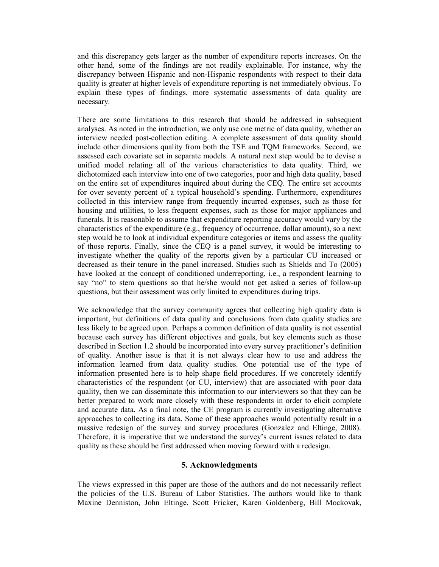and this discrepancy gets larger as the number of expenditure reports increases. On the other hand, some of the findings are not readily explainable. For instance, why the discrepancy between Hispanic and non-Hispanic respondents with respect to their data quality is greater at higher levels of expenditure reporting is not immediately obvious. To explain these types of findings, more systematic assessments of data quality are necessary.

There are some limitations to this research that should be addressed in subsequent analyses. As noted in the introduction, we only use one metric of data quality, whether an interview needed post-collection editing. A complete assessment of data quality should include other dimensions quality from both the TSE and TQM frameworks. Second, we assessed each covariate set in separate models. A natural next step would be to devise a unified model relating all of the various characteristics to data quality. Third, we dichotomized each interview into one of two categories, poor and high data quality, based on the entire set of expenditures inquired about during the CEQ. The entire set accounts for over seventy percent of a typical household's spending. Furthermore, expenditures collected in this interview range from frequently incurred expenses, such as those for housing and utilities, to less frequent expenses, such as those for major appliances and funerals. It is reasonable to assume that expenditure reporting accuracy would vary by the characteristics of the expenditure (e.g., frequency of occurrence, dollar amount), so a next step would be to look at individual expenditure categories or items and assess the quality of those reports. Finally, since the CEQ is a panel survey, it would be interesting to investigate whether the quality of the reports given by a particular CU increased or decreased as their tenure in the panel increased. Studies such as Shields and To (2005) have looked at the concept of conditioned underreporting, i.e., a respondent learning to say "no" to stem questions so that he/she would not get asked a series of follow-up questions, but their assessment was only limited to expenditures during trips.

We acknowledge that the survey community agrees that collecting high quality data is important, but definitions of data quality and conclusions from data quality studies are less likely to be agreed upon. Perhaps a common definition of data quality is not essential because each survey has different objectives and goals, but key elements such as those described in Section 1.2 should be incorporated into every survey practitioner's definition of quality. Another issue is that it is not always clear how to use and address the information learned from data quality studies. One potential use of the type of information presented here is to help shape field procedures. If we concretely identify characteristics of the respondent (or CU, interview) that are associated with poor data quality, then we can disseminate this information to our interviewers so that they can be better prepared to work more closely with these respondents in order to elicit complete and accurate data. As a final note, the CE program is currently investigating alternative approaches to collecting its data. Some of these approaches would potentially result in a massive redesign of the survey and survey procedures (Gonzalez and Eltinge, 2008). Therefore, it is imperative that we understand the survey's current issues related to data quality as these should be first addressed when moving forward with a redesign.

## **5. Acknowledgments**

The views expressed in this paper are those of the authors and do not necessarily reflect the policies of the U.S. Bureau of Labor Statistics. The authors would like to thank Maxine Denniston, John Eltinge, Scott Fricker, Karen Goldenberg, Bill Mockovak,